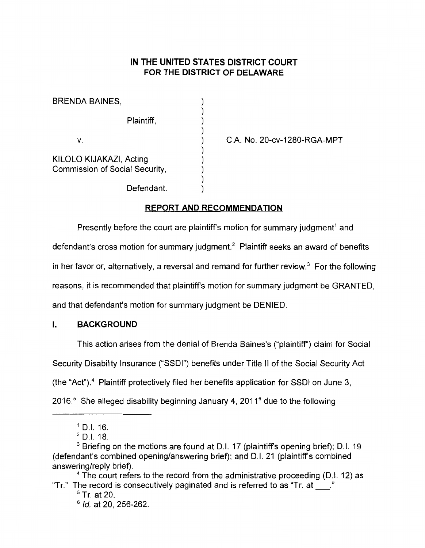# **IN THE UNITED STATES DISTRICT COURT FOR THE DISTRICT OF DELAWARE**

| BRENDA BAINES,                                            |  |
|-----------------------------------------------------------|--|
| Plaintiff,                                                |  |
| V.                                                        |  |
| KILOLO KIJAKAZI, Acting<br>Commission of Social Security, |  |
| Defendant.                                                |  |

C.A. No. 20-cv-1280-RGA-MPT

## **REPORT AND RECOMMENDATION**

Presently before the court are plaintiff's motion for summary judgment<sup>1</sup> and

defendant's cross motion for summary judgment.<sup>2</sup> Plaintiff seeks an award of benefits

in her favor or, alternatively, a reversal and remand for further review.<sup>3</sup> For the following

reasons, it is recommended that plaintiff's motion for summary judgment be GRANTED,

and that defendant's motion for summary judgment be DENIED.

### I. **BACKGROUND**

This action arises from the denial of Brenda Baines's ("plaintiff'') claim for Social

Security Disability Insurance ("SSDI") benefits under Title II of the Social Security Act

(the "Act"). 4 Plaintiff protectively filed her benefits application for SSDI on June 3,

2016. $<sup>5</sup>$  She alleged disability beginning January 4, 2011 $<sup>6</sup>$  due to the following</sup></sup>

<sup>4</sup> The court refers to the record from the administrative proceeding (D.I. 12) as "Tr." The record is consecutively paginated and is referred to as "Tr. at  $\_\_\$ "

 $5$  Tr. at 20.

 $6$  *Id.* at 20, 256-262.

 $1$  D.I. 16.

<sup>2</sup> D.l.18.

<sup>&</sup>lt;sup>3</sup> Briefing on the motions are found at D.I. 17 (plaintiff's opening brief); D.I. 19 (defendant's combined opening/answering brief); and 0.1. 21 (plaintiffs combined answering/reply brief).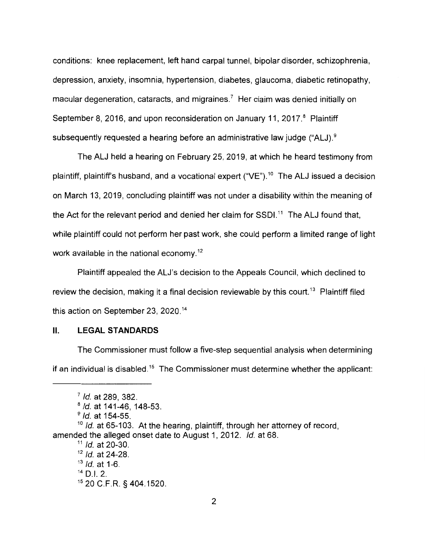conditions: knee replacement, left hand carpal tunnel, bipolar disorder, schizophrenia, depression, anxiety, insomnia, hypertension, diabetes, glaucoma, diabetic retinopathy, macular degeneration, cataracts, and migraines.<sup>7</sup> Her claim was denied initially on September 8, 2016, and upon reconsideration on January 11, 2017.<sup>8</sup> Plaintiff subsequently requested a hearing before an administrative law judge ("ALJ).<sup>9</sup>

The ALJ held a hearing on February 25, 2019, at which he heard testimony from plaintiff, plaintiff's husband, and a vocational expert ("VE").<sup>10</sup> The ALJ issued a decision on March 13, 2019, concluding plaintiff was not under a disability within the meaning of the Act for the relevant period and denied her claim for  $SSDI$ <sup>11</sup>. The ALJ found that, while plaintiff could not perform her past work, she could perform a limited range of light work available in the national economy. 12

Plaintiff appealed the ALJ's decision to the Appeals Council, which declined to review the decision, making it a final decision reviewable by this court.<sup>13</sup> Plaintiff filed this action on September 23, 2020.<sup>14</sup>

### II. **LEGAL STANDARDS**

The Commissioner must follow a five-step sequential analysis when determining if an individual is disabled.<sup>15</sup> The Commissioner must determine whether the applicant:

 $<sup>7</sup>$  Id. at 289, 382.</sup>

 $8$  Id. at 141-46, 148-53.

 $9$  *ld.* at 154-55.

 $10$  Id. at 65-103. At the hearing, plaintiff, through her attorney of record, amended the alleged onset date to August 1, 2012. Id. at 68.

 $11$  *ld.* at 20-30.

 $12$  *Id.* at 24-28.

 $13$  *ld.* at 1-6.

 $14$  D.I. 2.

<sup>15</sup>20 C.F.R. § 404.1520.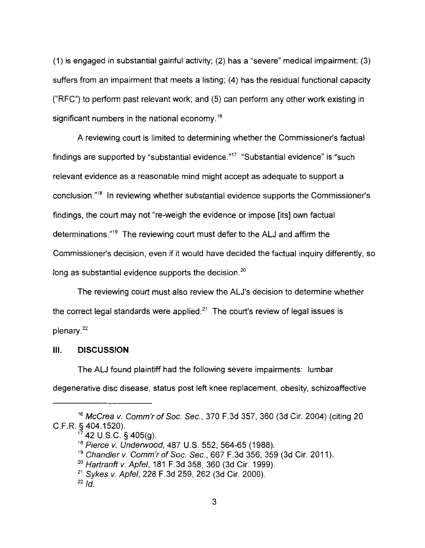(1) is engaged in substantial gainful activity; (2) has a "severe" medical impairment; (3) suffers from an impairment that meets a listing; (4) has the residual functional capacity ("RFC") to perform past relevant work; and (5) can perform any other work existing in significant numbers in the national economy.<sup>16</sup>

A reviewing court is limited to determining whether the Commissioner's factual findings are supported by "substantial evidence." $17$  "Substantial evidence" is "such relevant evidence as a reasonable mind might accept as adequate to support a conclusion." 18 In reviewing whether substantial evidence supports the Commissioner's findings, the court may not "re-weigh the evidence or impose [its] own factual determinations."<sup>19</sup> The reviewing court must defer to the ALJ and affirm the Commissioner's decision, even if it would have decided the factual inquiry differently, so long as substantial evidence supports the decision.<sup>20</sup>

The reviewing court must also review the ALJ's decision to determine whether the correct legal standards were applied. $2<sup>1</sup>$  The court's review of legal issues is plenary. <sup>22</sup>

#### **Ill. DISCUSSION**

The ALJ found plaintiff had the following severe impairments: lumbar degenerative disc disease, status post left knee replacement, obesity, schizoaffective

<sup>16</sup>McCrea v. Comm'r of Soc. Sec., 370 F.3d 357, 360 (3d Cir. 2004) (citing 20 C.F.R. § 404.1520).

 $17$  42 U.S.C. § 405(g).

<sup>&</sup>lt;sup>18</sup> Pierce v. Underwood, 487 U.S. 552, 564-65 (1988).

<sup>&</sup>lt;sup>19</sup> Chandler v. Comm'r of Soc. Sec., 667 F.3d 356, 359 (3d Cir. 2011).

<sup>&</sup>lt;sup>20</sup> Hartranft v. Apfel, 181 F.3d 358, 360 (3d Cir. 1999).

<sup>21</sup>Sykes v. Apfel, 228 F.3d 259, 262 (3d Cir. 2000).

 $^{22}$  Id.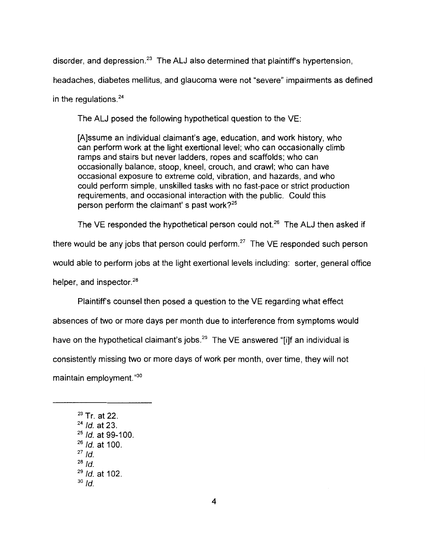disorder, and depression. $23$  The ALJ also determined that plaintiff's hypertension,

headaches, diabetes mellitus, and glaucoma were not "severe" impairments as defined

in the regulations. <sup>24</sup>

The ALJ posed the following hypothetical question to the VE:

[A]ssume an individual claimant's age, education, and work history, who can perform work at the light exertional level; who can occasionally climb ramps and stairs but never ladders, ropes and scaffolds; who can occasionally balance, stoop, kneel, crouch, and crawl; who can have occasional exposure to extreme cold, vibration, and hazards, and who could perform simple, unskilled tasks with no fast-pace or strict production requirements, and occasional interaction with the public. Could this person perform the claimant's past work? $25$ 

The VE responded the hypothetical person could not.<sup>26</sup> The ALJ then asked if

there would be any jobs that person could perform.<sup>27</sup> The VE responded such person

would able to perform jobs at the light exertional levels including: sorter, general office

helper, and inspector.<sup>28</sup>

Plaintiff's counsel then posed a question to the VE regarding what effect absences of two or more days per month due to interference from symptoms would have on the hypothetical claimant's jobs.<sup>29</sup> The VE answered "[i]f an individual is consistently missing two or more days of work per month, over time, they will not maintain employment."30

 $23$  Tr. at 22.  $^{24}$  *ld.* at 23.  $25$  *ld.* at 99-100.  $26$  *Id.* at 100.  $27$  Id.  $^{28}$  Id.  $29$  *ld.* at 102.  $30$  Id.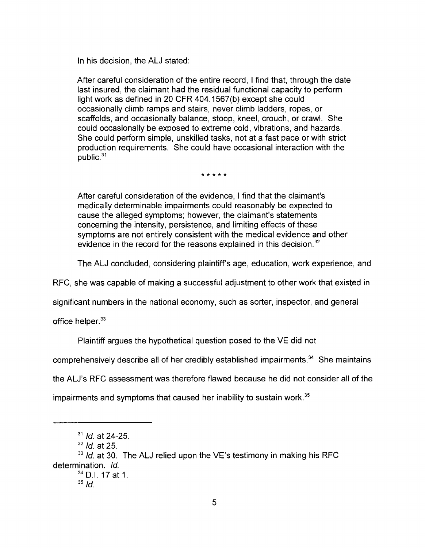In his decision, the ALJ stated:

After careful consideration of the entire record, I find that, through the date last insured, the claimant had the residual functional capacity to perform light work as defined in 20 CFR 404.1567(b) except she could occasionally climb ramps and stairs, never climb ladders, ropes, or scaffolds, and occasionally balance, stoop, kneel, crouch, or crawl. She could occasionally be exposed to extreme cold, vibrations, and hazards. She could perform simple, unskilled tasks, not at a fast pace or with strict production requirements. She could have occasional interaction with the public. <sup>31</sup>

\* \* \* \* \*

After careful consideration of the evidence, I find that the claimant's medically determinable impairments could reasonably be expected to cause the alleged symptoms; however, the claimant's statements concerning the intensity, persistence, and limiting effects of these symptoms are not entirely consistent with the medical evidence and other evidence in the record for the reasons explained in this decision.<sup>32</sup>

The ALJ concluded, considering plaintiff's age, education, work experience, and

RFC, she was capable of making a successful adjustment to other work that existed in

significant numbers in the national economy, such as sorter, inspector, and general

office helper.<sup>33</sup>

Plaintiff argues the hypothetical question posed to the VE did not

comprehensively describe all of her credibly established impairments.<sup> $34$ </sup> She maintains

the ALJ's RFC assessment was therefore flawed because he did not consider all of the

impairments and symptoms that caused her inability to sustain work.<sup>35</sup>

 $32$  *Id.* at 25.

 $33$  Id. at 30. The ALJ relied upon the VE's testimony in making his RFC determination. Id.  $34$  D.I. 17 at 1.

 $31$  Id. at 24-25.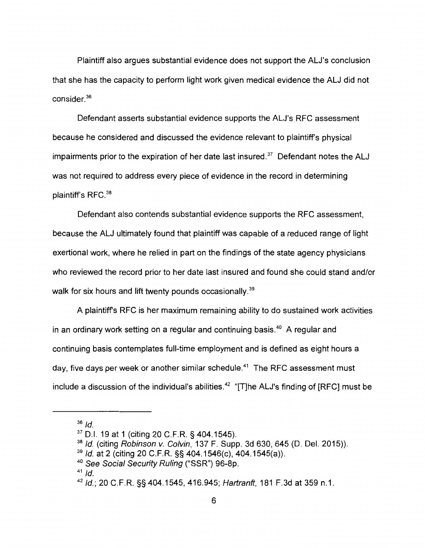Plaintiff also argues substantial evidence does not support the ALJ's conclusion that she has the capacity to perform light work given medical evidence the ALJ did not consider. <sup>36</sup>

Defendant asserts substantial evidence supports the ALJ's RFC assessment because he considered and discussed the evidence relevant to plaintiff's physical impairments prior to the expiration of her date last insured. $37$  Defendant notes the ALJ was not required to address every piece of evidence in the record in determining plaintiff's RFC.<sup>38</sup>

Defendant also contends substantial evidence supports the RFC assessment, because the ALJ ultimately found that plaintiff was capable of a reduced range of light exertional work, where he relied in part on the findings of the state agency physicians who reviewed the record prior to her date last insured and found she could stand and/or walk for six hours and lift twenty pounds occasionally.<sup>39</sup>

A plaintiff's RFC is her maximum remaining ability to do sustained work activities in an ordinary work setting on a regular and continuing basis. $40$  A regular and continuing basis contemplates full-time employment and is defined as eight hours a day, five days per week or another similar schedule. $41$  The RFC assessment must include a discussion of the individual's abilities.<sup>42</sup> "[T]he ALJ's finding of [RFC] must be

 $36$  Id.

<sup>37</sup>D.I. 19 at 1 (citing 20 C.F.R. § 404.1545).

 $38$  Id. (citing Robinson v. Colvin, 137 F. Supp. 3d 630, 645 (D. Del. 2015)).

 $39$  Id. at 2 (citing 20 C.F.R. §§ 404.1546(c), 404.1545(a)).

<sup>&</sup>lt;sup>40</sup> See Social Security Ruling ("SSR") 96-8p.

<sup>42</sup>Id.; 20 C.F.R. §§ 404.1545, 416.945; Hartranft, 181 F.3d at 359 n.1.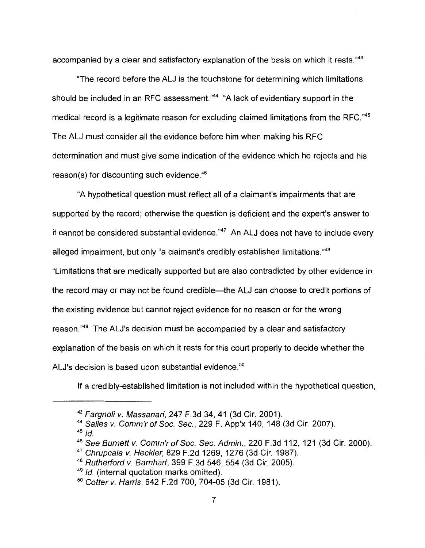accompanied by a clear and satisfactory explanation of the basis on which it rests."43

"The record before the ALJ is the touchstone for determining which limitations should be included in an RFC assessment."<sup>44</sup> "A lack of evidentiary support in the medical record is a legitimate reason for excluding claimed limitations from the RFC."45 The ALJ must consider all the evidence before him when making his RFC determination and must give some indication of the evidence which he rejects and his reason(s) for discounting such evidence. <sup>46</sup>

"A hypothetical question must reflect all of a claimant's impairments that are supported by the record; otherwise the question is deficient and the expert's answer to it cannot be considered substantial evidence." $47$  An ALJ does not have to include every alleged impairment, but only "a claimant's credibly established limitations."<sup>48</sup>

"Limitations that are medically supported but are also contradicted by other evidence in the record may or may not be found credible-the ALJ can choose to credit portions of the existing evidence but cannot reject evidence for no reason or for the wrong reason."<sup>49</sup> The ALJ's decision must be accompanied by a clear and satisfactory explanation of the basis on which it rests for this court properly to decide whether the ALJ's decision is based upon substantial evidence.<sup>50</sup>

If a credibly-established limitation is not included within the hypothetical question,

<sup>43</sup> Fargnoli v. Massanari, 247 F.3d 34, 41 (3d Cir. 2001).

<sup>44</sup>Salles v. Comm'r of Soc. Sec., 229 F. App'x 140, 148 (3d Cir. 2007).

<sup>&</sup>lt;sup>46</sup> See Burnett v. Comm'r of Soc. Sec. Admin., 220 F.3d 112, 121 (3d Cir. 2000).

<sup>47</sup>Chrupcala v. Heckler, 829 F.2d 1269, 1276 (3d Cir. 1987).

<sup>48</sup> Rutherford v. Barnhart, 399 F.3d 546, 554 (3d Cir. 2005).

 $49$  Id. (internal quotation marks omitted).

<sup>5</sup> ° Cotter v. Harris, 642 F.2d 700, 704-05 (3d Cir. 1981 ).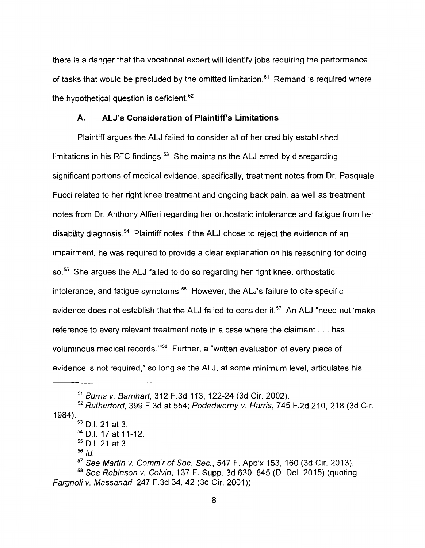there is a danger that the vocational expert will identify jobs requiring the performance of tasks that would be precluded by the omitted limitation.<sup>51</sup> Remand is required where the hypothetical question is deficient.<sup>52</sup>

#### **A. ALJ's Consideration of Plaintiff's Limitations**

Plaintiff argues the ALJ failed to consider all of her credibly established limitations in his RFC findings. $53$  She maintains the ALJ erred by disregarding significant portions of medical evidence, specifically, treatment notes from Dr. Pasquale Fucci related to her right knee treatment and ongoing back pain, as well as treatment notes from Dr. Anthony Alfieri regarding her orthostatic intolerance and fatigue from her disability diagnosis.<sup>54</sup> Plaintiff notes if the ALJ chose to reject the evidence of an impairment, he was required to provide a clear explanation on his reasoning for doing so.<sup>55</sup> She argues the ALJ failed to do so regarding her right knee, orthostatic intolerance, and fatigue symptoms.<sup>56</sup> However, the ALJ's failure to cite specific evidence does not establish that the ALJ failed to consider it.<sup>57</sup> An ALJ "need not 'make reference to every relevant treatment note in a case where the claimant ... has voluminous medical records."<sup>58</sup> Further, a "written evaluation of every piece of evidence is not required," so long as the ALJ, at some minimum level, articulates his

<sup>51</sup> Burns v. Barnhart, 312 F.3d 113, 122-24 (3d Cir. 2002).

<sup>1984).</sup>   $52$  Rutherford, 399 F.3d at 554; Podedworny v. Harris, 745 F.2d 210, 218 (3d Cir.

<sup>53</sup>0.1. 21 at 3.

 $54$  D.I. 17 at 11-12.

<sup>55</sup>D.I. 21 at 3.

 $57$  See Martin v. Comm'r of Soc. Sec., 547 F. App'x 153, 160 (3d Cir. 2013).

 $58$  See Robinson v. Colvin, 137 F. Supp. 3d 630, 645 (D. Del. 2015) (quoting Fargnoli v. Massanari, 247 F.3d 34, 42 (3d Cir. 2001)).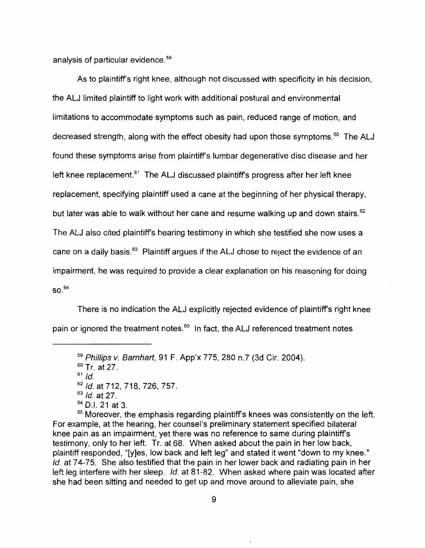analysis of particular evidence. <sup>59</sup>

As to plaintiff's right knee, although not discussed with specificity in his decision, the ALJ limited plaintiff to light work with additional postural and environmental limitations to accommodate symptoms such as pain, reduced range of motion, and decreased strength, along with the effect obesity had upon those symptoms.<sup>60</sup> The ALJ found these symptoms arise from plaintiff's lumbar degenerative disc disease and her left knee replacement.<sup> $61$ </sup> The ALJ discussed plaintiff's progress after her left knee replacement, specifying plaintiff used a cane at the beginning of her physical therapy, but later was able to walk without her cane and resume walking up and down stairs.<sup>62</sup> The ALJ also cited plaintiff's hearing testimony in which she testified she now uses a cane on a daily basis.<sup>63</sup> Plaintiff argues if the ALJ chose to reject the evidence of an impairment, he was required to provide a clear explanation on his reasoning for doing  $SO.<sup>64</sup>$ 

There is no indication the ALJ explicitly rejected evidence of plaintiff's right knee pain or ignored the treatment notes.<sup>65</sup> In fact, the ALJ referenced treatment notes

 $63$  *Id.* at 27.

<sup>59</sup> Phillips v. Barnhart, 91 F. App'x 775, 280 n.7 (3d Cir. 2004).

 $60$  Tr. at 27.

 $61$  *Id.* 

<sup>62</sup> Id. at 712, 718, 726, 757.

<sup>64</sup>D.I. 21 at 3.

<sup>&</sup>lt;sup>65</sup> Moreover, the emphasis regarding plaintiff's knees was consistently on the left. For example, at the hearing, her counsel's preliminary statement specified bilateral knee pain as an impairment, yet there was no reference to same during plaintiffs testimony, only to her left. Tr. at 68. When asked about the pain in her low back, plaintiff responded, "[y]es, low back and left leg" and stated it went "down to my knee." Id. at 74-75. She also testified that the pain in her lower back and radiating pain in her left leg interfere with her sleep. Id. at 81-82. When asked where pain was located after she had been sitting and needed to get up and move around to alleviate pain, she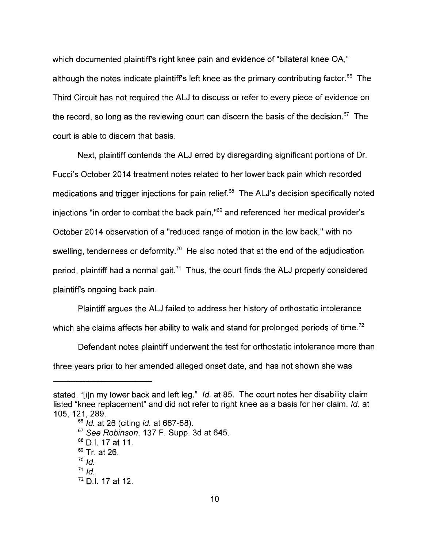which documented plaintiffs right knee pain and evidence of "bilateral knee OA," although the notes indicate plaintiff's left knee as the primary contributing factor.<sup>66</sup> The Third Circuit has not required the ALJ to discuss or refer to every piece of evidence on the record, so long as the reviewing court can discern the basis of the decision.<sup>67</sup> The court is able to discern that basis.

Next, plaintiff contends the ALJ erred by disregarding significant portions of Dr. Fucci's October 2014 treatment notes related to her lower back pain which recorded medications and trigger injections for pain relief.<sup>68</sup> The ALJ's decision specifically noted injections "in order to combat the back pain,"<sup>69</sup> and referenced her medical provider's October 2014 observation of a "reduced range of motion in the low back," with no swelling, tenderness or deformity.<sup>70</sup> He also noted that at the end of the adjudication period, plaintiff had a normal gait.<sup> $71$ </sup> Thus, the court finds the ALJ properly considered plaintiffs ongoing back pain.

Plaintiff argues the ALJ failed to address her history of orthostatic intolerance which she claims affects her ability to walk and stand for prolonged periods of time.<sup>72</sup>

Defendant notes plaintiff underwent the test for orthostatic intolerance more than three years prior to her amended alleged onset date, and has not shown she was

stated, "[i]n my lower back and left leg." Id. at 85. The court notes her disability claim listed "knee replacement" and did not refer to right knee as a basis for her claim. Id. at 105, 121, 289.

<sup>&</sup>lt;sup>66</sup> *Id.* at 26 (citing *id.* at 667-68).  $67$  See Robinson, 137 F. Supp. 3d at 645. <sup>68</sup>D.I. 17 at 11. <sup>69</sup> Tr. at 26.  $70$   $\overline{1}$ d.  $71$  Id. 72 D.I. 17 at 12.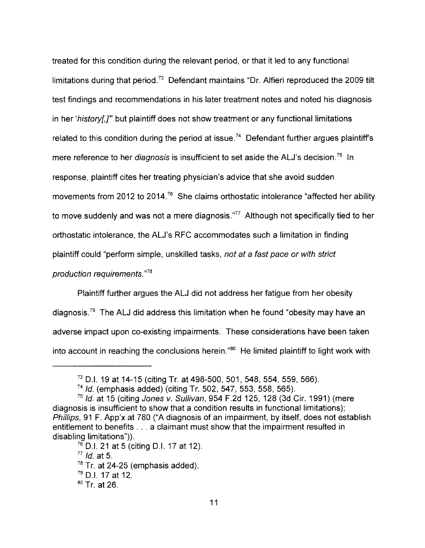treated for this condition during the relevant period, or that it led to any functional limitations during that period.<sup>73</sup> Defendant maintains "Dr. Alfieri reproduced the 2009 tilt test findings and recommendations in his later treatment notes and noted his diagnosis in her 'history[.]" but plaintiff does not show treatment or any functional limitations related to this condition during the period at issue.<sup>74</sup> Defendant further argues plaintiff's mere reference to her *diagnosis* is insufficient to set aside the ALJ's decision.<sup>75</sup> In response, plaintiff cites her treating physician's advice that she avoid sudden movements from 2012 to 2014.<sup>76</sup> She claims orthostatic intolerance "affected her ability to move suddenly and was not a mere diagnosis."<sup>77</sup> Although not specifically tied to her orthostatic intolerance, the ALJ's RFC accommodates such a limitation in finding plaintiff could "perform simple, unskilled tasks, not at a fast pace or with strict production requirements."<sup>78</sup>

Plaintiff further argues the ALJ did not address her fatigue from her obesity diagnosis.<sup>79</sup> The ALJ did address this limitation when he found "obesity may have an adverse impact upon co-existing impairments. These considerations have been taken into account in reaching the conclusions herein." $80$  He limited plaintiff to light work with

 $76$  D.I. 21 at 5 (citing D.I. 17 at 12).

 $77$  *Id.* at 5.

 $78$  Tr. at 24-25 (emphasis added).

 $79$  D.I. 17 at 12.

 $73$  D.I. 19 at 14-15 (citing Tr. at 498-500, 501, 548, 554, 559, 566).

 $74$  Id. (emphasis added) (citing Tr. 502, 547, 553, 558, 565).

 $75$  Id. at 15 (citing Jones v. Sullivan, 954 F.2d 125, 128 (3d Cir. 1991) (mere diagnosis is insufficient to show that a condition results in functional limitations); Phillips, 91 F. App'x at 780 ("A diagnosis of an impairment, by itself, does not establish entitlement to benefits ... a claimant must show that the impairment resulted in disabling limitations")).

 $80$  Tr. at 26.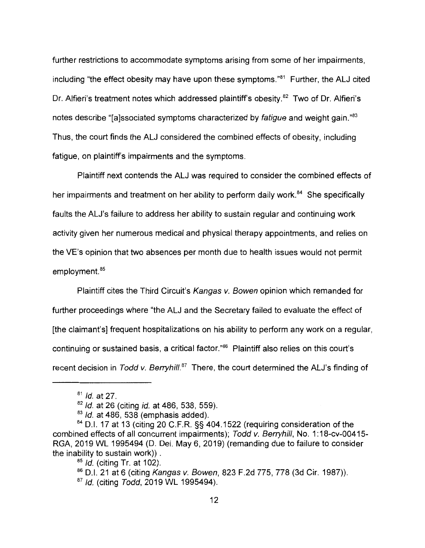further restrictions to accommodate symptoms arising from some of her impairments, including "the effect obesity may have upon these symptoms." $81$  Further, the ALJ cited Dr. Alfieri's treatment notes which addressed plaintiff's obesity.<sup>82</sup> Two of Dr. Alfieri's notes describe "[a]ssociated symptoms characterized by fatigue and weight gain."<sup>83</sup> Thus, the court finds the ALJ considered the combined effects of obesity, including fatigue, on plaintiff's impairments and the symptoms.

Plaintiff next contends the ALJ was required to consider the combined effects of her impairments and treatment on her ability to perform daily work.<sup>84</sup> She specifically faults the ALJ's failure to address her ability to sustain regular and continuing work activity given her numerous medical and physical therapy appointments, and relies on the VE's opinion that two absences per month due to health issues would not permit employment.<sup>85</sup>

Plaintiff cites the Third Circuit's Kangas v. Bowen opinion which remanded for further proceedings where "the ALJ and the Secretary failed to evaluate the effect of [the claimant's] frequent hospitalizations on his ability to perform any work on a regular, continuing or sustained basis, a critical factor."<sup>86</sup> Plaintiff also relies on this court's recent decision in Todd v. Berryhill.<sup>87</sup> There, the court determined the ALJ's finding of

 $81$  *Id.* at 27.

<sup>82</sup> Id. at 26 (citing id. at 486, 538, 559).

 $83$  Id. at 486, 538 (emphasis added).

<sup>84</sup> D.I. 17 at 13 (citing 20 C.F.R. §§ 404.1522 (requiring consideration of the combined effects of all concurrent impairments); Todd *v.* Berryhill, No. 1: 18-cv-00415- RGA, 2019 WL 1995494 (D. Del. May 6, 2019) (remanding due to failure to consider the inability to sustain work)) .

 $85$  *Id.* (citing Tr. at 102).

<sup>86</sup> D.I. 21 at 6 (citing Kangas v. Bowen, 823 F.2d 775, 778 (3d Cir. 1987)).

<sup>&</sup>lt;sup>87</sup> Id. (citing Todd, 2019 WL 1995494).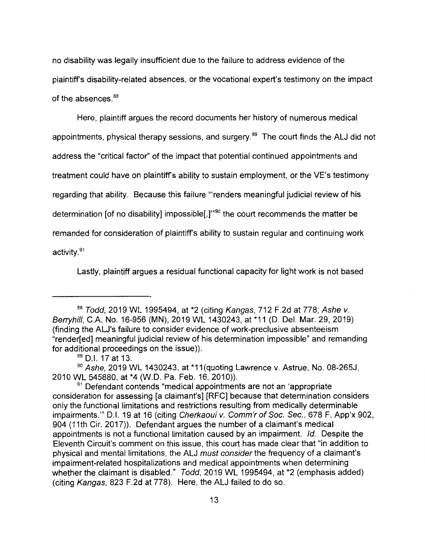no disability was legally insufficient due to the failure to address evidence of the plaintiff's disability-related absences, or the vocational expert's testimony on the impact of the absences.<sup>88</sup>

Here, plaintiff argues the record documents her history of numerous medical appointments, physical therapy sessions, and surgery. $89$  The court finds the ALJ did not address the "critical factor" of the impact that potential continued appointments and treatment could have on plaintiff's ability to sustain employment, or the VE's testimony regarding that ability. Because this failure "'renders meaningful judicial review of his determination [of no disability] impossible[,]"<sup>90</sup> the court recommends the matter be remanded for consideration of plaintiff's ability to sustain regular and continuing work activity. <sup>91</sup>

Lastly, plaintiff argues a residual functional capacity for light work is not based

<sup>88</sup> Todd, 2019 WL 1995494, at \*2 (citing Kangas, 712 F.2d at 778; Ashe v. Berryhill, C.A. No. 16-956 **(MN),** 2019 WL 1430243, at \*11 (D. Del. Mar. 29, 2019) (finding the ALJ's failure to consider evidence of work-preclusive absenteeism "render[ed] meaningful judicial review of his determination impossible" and remanding for additional proceedings on the issue)).

<sup>&</sup>lt;sup>89</sup> D.I. 17 at 13.

 $90$  Ashe, 2019 WL 1430243, at \*11(quoting Lawrence v. Astrue, No. 08-265J, 2010 WL 545880, at \*4 (W.D. Pa. Feb. 16, 2010)).

<sup>&</sup>lt;sup>91</sup> Defendant contends "medical appointments are not an 'appropriate consideration for assessing [a claimant's] [RFC] because that determination considers only the functional limitations and restrictions resulting from medically determinable impairments." D.I. 19 at 16 (citing Cherkaoui v. Comm'r of Soc. Sec., 678 F. App'x 902, 904 (11th Cir. 2017)). Defendant argues the number of a claimant's medical appointments is not a functional limitation caused by an impairment. Id. Despite the Eleventh Circuit's comment on this issue, this court has made clear that "in addition to physical and mental limitations, the ALJ must consider the frequency of a claimant's impairment-related hospitalizations and medical appointments when determining whether the claimant is disabled." Todd, 2019 WL 1995494, at \*2 (emphasis added) (citing Kangas, 823 F.2d at 778). Here, the ALJ failed to do so.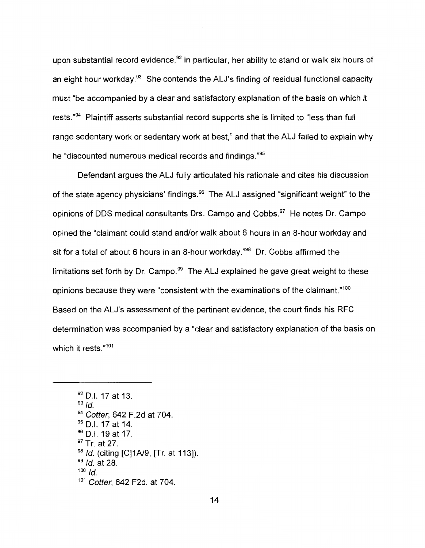upon substantial record evidence,<sup>92</sup> in particular, her ability to stand or walk six hours of an eight hour workday. <sup>93</sup> She contends the ALJ's finding of residual functional capacity must "be accompanied by a clear and satisfactory explanation of the basis on which it rests."<sup>94</sup> Plaintiff asserts substantial record supports she is limited to "less than full range sedentary work or sedentary work at best," and that the ALJ failed to explain why he "discounted numerous medical records and findings."<sup>95</sup>

Defendant argues the ALJ fully articulated his rationale and cites his discussion of the state agency physicians' findings.  $96$  The ALJ assigned "significant weight" to the opinions of DDS medical consultants Drs. Campo and Cobbs.<sup>97</sup> He notes Dr. Campo opined the "claimant could stand and/or walk about 6 hours in an 8-hour workday and sit for a total of about 6 hours in an 8-hour workday.<sup>"98</sup> Dr. Cobbs affirmed the limitations set forth by  $Dr.$  Campo.<sup>99</sup> The ALJ explained he gave great weight to these opinions because they were "consistent with the examinations of the claimant."<sup>100</sup> Based on the ALJ's assessment of the pertinent evidence, the court finds his RFC determination was accompanied by a "clear and satisfactory explanation of the basis on which it rests."<sup>101</sup>

<sup>92</sup> D.I. 17 at 13.  $93$   $Id.$ <sup>94</sup> Cotter, 642 F.2d at 704. <sup>95</sup> D.I. 17 at 14.  $96$  D.I. 19 at 17. <sup>97</sup> Tr. at 27. 98 Id. (citing [C]1A/9, [Tr. at 113]).  $99$  *Id.* at 28.  $100$  Id. 101 Cotter, 642 F2d. at 704.